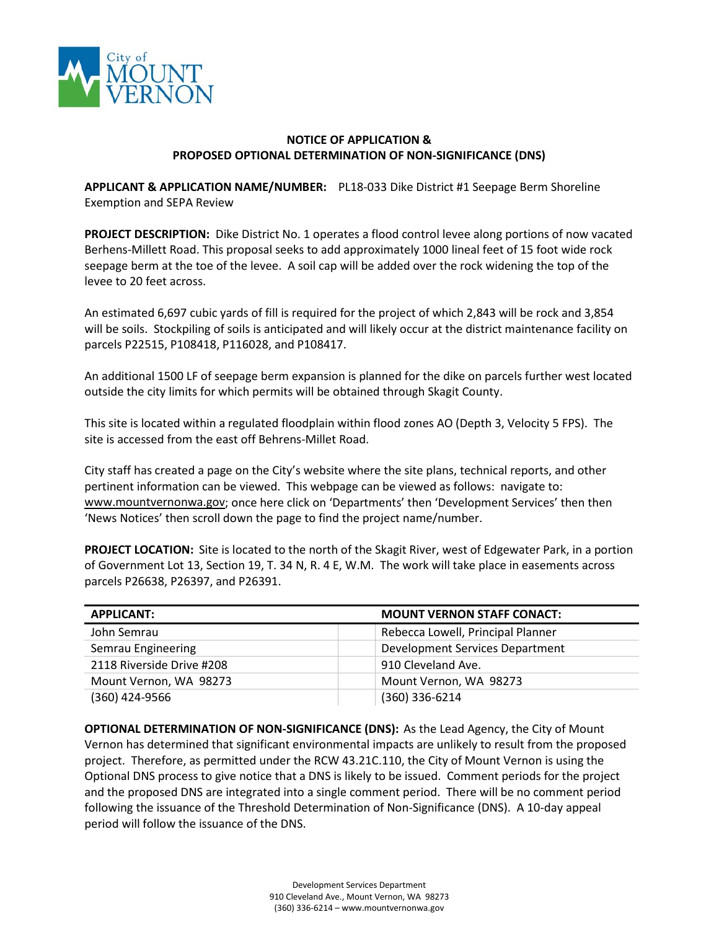

## **NOTICE OF APPLICATION & PROPOSED OPTIONAL DETERMINATION OF NON-SIGNIFICANCE (DNS)**

**APPLICANT & APPLICATION NAME/NUMBER:** PL18-033 Dike District #1 Seepage Berm Shoreline Exemption and SEPA Review

**PROJECT DESCRIPTION:** Dike District No. 1 operates a flood control levee along portions of now vacated Berhens-Millett Road. This proposal seeks to add approximately 1000 lineal feet of 15 foot wide rock seepage berm at the toe of the levee. A soil cap will be added over the rock widening the top of the levee to 20 feet across.

An estimated 6,697 cubic yards of fill is required for the project of which 2,843 will be rock and 3,854 will be soils. Stockpiling of soils is anticipated and will likely occur at the district maintenance facility on parcels P22515, P108418, P116028, and P108417.

An additional 1500 LF of seepage berm expansion is planned for the dike on parcels further west located outside the city limits for which permits will be obtained through Skagit County.

This site is located within a regulated floodplain within flood zones AO (Depth 3, Velocity 5 FPS). The site is accessed from the east off Behrens-Millet Road.

City staff has created a page on the City's website where the site plans, technical reports, and other pertinent information can be viewed. This webpage can be viewed as follows: navigate to: [www.mountvernonwa.gov;](http://www.mountvernonwa.gov/) once here click on 'Departments' then 'Development Services' then then 'News Notices' then scroll down the page to find the project name/number.

**PROJECT LOCATION:** Site is located to the north of the Skagit River, west of Edgewater Park, in a portion of Government Lot 13, Section 19, T. 34 N, R. 4 E, W.M. The work will take place in easements across parcels P26638, P26397, and P26391.

| <b>APPLICANT:</b>         | <b>MOUNT VERNON STAFF CONACT:</b> |
|---------------------------|-----------------------------------|
| John Semrau               | Rebecca Lowell, Principal Planner |
| Semrau Engineering        | Development Services Department   |
| 2118 Riverside Drive #208 | 910 Cleveland Ave.                |
| Mount Vernon, WA 98273    | Mount Vernon, WA 98273            |
| (360) 424-9566            | (360) 336-6214                    |

**OPTIONAL DETERMINATION OF NON-SIGNIFICANCE (DNS):** As the Lead Agency, the City of Mount Vernon has determined that significant environmental impacts are unlikely to result from the proposed project. Therefore, as permitted under the RCW 43.21C.110, the City of Mount Vernon is using the Optional DNS process to give notice that a DNS is likely to be issued. Comment periods for the project and the proposed DNS are integrated into a single comment period. There will be no comment period following the issuance of the Threshold Determination of Non-Significance (DNS). A 10-day appeal period will follow the issuance of the DNS.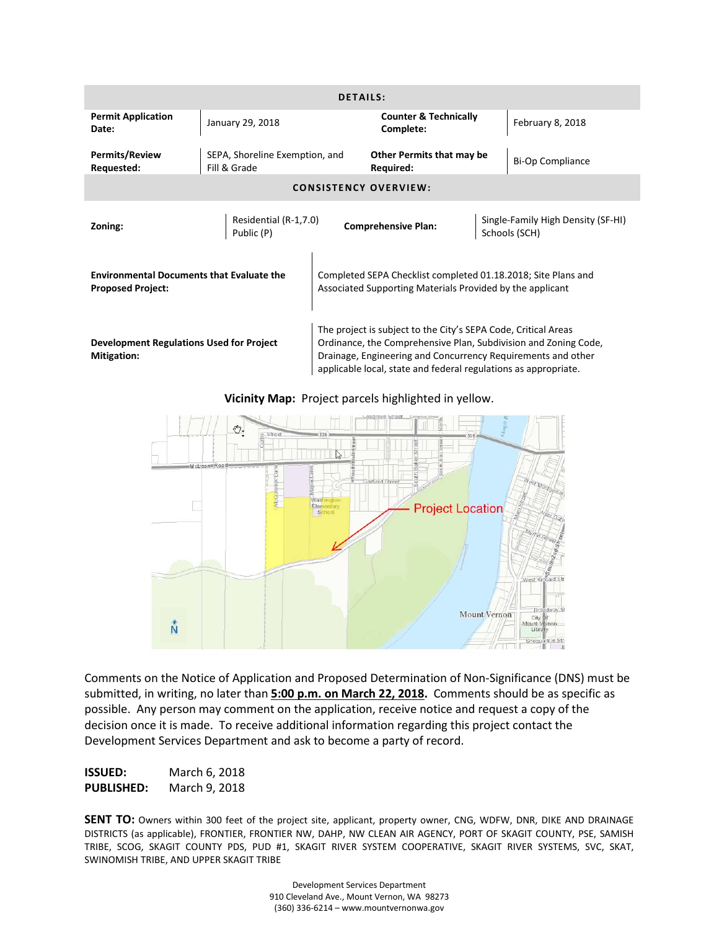| <b>DETAILS:</b>                                                              |                                                |                                                                                                                            |                                                                                                                                                                                                                                                                      |  |                                                     |
|------------------------------------------------------------------------------|------------------------------------------------|----------------------------------------------------------------------------------------------------------------------------|----------------------------------------------------------------------------------------------------------------------------------------------------------------------------------------------------------------------------------------------------------------------|--|-----------------------------------------------------|
| <b>Permit Application</b><br>Date:                                           | January 29, 2018                               |                                                                                                                            | <b>Counter &amp; Technically</b><br>Complete:                                                                                                                                                                                                                        |  | February 8, 2018                                    |
| Permits/Review<br>Requested:                                                 | SEPA, Shoreline Exemption, and<br>Fill & Grade |                                                                                                                            | Other Permits that may be<br>Required:                                                                                                                                                                                                                               |  | <b>Bi-Op Compliance</b>                             |
| <b>CONSISTENCY OVERVIEW:</b>                                                 |                                                |                                                                                                                            |                                                                                                                                                                                                                                                                      |  |                                                     |
| Zoning:                                                                      | Residential (R-1,7.0)<br>Public (P)            |                                                                                                                            | <b>Comprehensive Plan:</b>                                                                                                                                                                                                                                           |  | Single-Family High Density (SF-HI)<br>Schools (SCH) |
| <b>Environmental Documents that Evaluate the</b><br><b>Proposed Project:</b> |                                                | Completed SEPA Checklist completed 01.18.2018; Site Plans and<br>Associated Supporting Materials Provided by the applicant |                                                                                                                                                                                                                                                                      |  |                                                     |
| <b>Development Regulations Used for Project</b><br><b>Mitigation:</b>        |                                                |                                                                                                                            | The project is subject to the City's SEPA Code, Critical Areas<br>Ordinance, the Comprehensive Plan, Subdivision and Zoning Code,<br>Drainage, Engineering and Concurrency Requirements and other<br>applicable local, state and federal regulations as appropriate. |  |                                                     |

**Vicinity Map:** Project parcels highlighted in yellow.



Comments on the Notice of Application and Proposed Determination of Non-Significance (DNS) must be submitted, in writing, no later than **5:00 p.m. on March 22, 2018.** Comments should be as specific as possible. Any person may comment on the application, receive notice and request a copy of the decision once it is made. To receive additional information regarding this project contact the Development Services Department and ask to become a party of record.

**ISSUED:** March 6, 2018 **PUBLISHED:** March 9, 2018

**SENT TO:** Owners within 300 feet of the project site, applicant, property owner, CNG, WDFW, DNR, DIKE AND DRAINAGE DISTRICTS (as applicable), FRONTIER, FRONTIER NW, DAHP, NW CLEAN AIR AGENCY, PORT OF SKAGIT COUNTY, PSE, SAMISH TRIBE, SCOG, SKAGIT COUNTY PDS, PUD #1, SKAGIT RIVER SYSTEM COOPERATIVE, SKAGIT RIVER SYSTEMS, SVC, SKAT, SWINOMISH TRIBE, AND UPPER SKAGIT TRIBE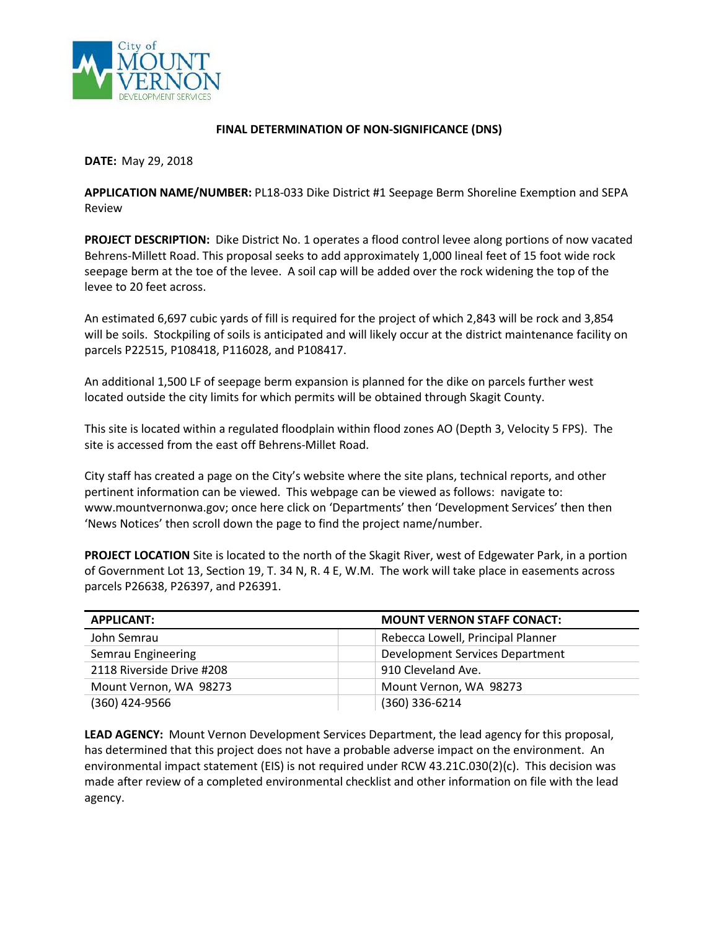

#### **FINAL DETERMINATION OF NON-SIGNIFICANCE (DNS)**

**DATE:** May 29, 2018

**APPLICATION NAME/NUMBER:** PL18-033 Dike District #1 Seepage Berm Shoreline Exemption and SEPA Review

**PROJECT DESCRIPTION:** Dike District No. 1 operates a flood control levee along portions of now vacated Behrens-Millett Road. This proposal seeks to add approximately 1,000 lineal feet of 15 foot wide rock seepage berm at the toe of the levee. A soil cap will be added over the rock widening the top of the levee to 20 feet across.

An estimated 6,697 cubic yards of fill is required for the project of which 2,843 will be rock and 3,854 will be soils. Stockpiling of soils is anticipated and will likely occur at the district maintenance facility on parcels P22515, P108418, P116028, and P108417.

An additional 1,500 LF of seepage berm expansion is planned for the dike on parcels further west located outside the city limits for which permits will be obtained through Skagit County.

This site is located within a regulated floodplain within flood zones AO (Depth 3, Velocity 5 FPS). The site is accessed from the east off Behrens-Millet Road.

City staff has created a page on the City's website where the site plans, technical reports, and other pertinent information can be viewed. This webpage can be viewed as follows: navigate to: www.mountvernonwa.gov; once here click on 'Departments' then 'Development Services' then then 'News Notices' then scroll down the page to find the project name/number.

**PROJECT LOCATION** Site is located to the north of the Skagit River, west of Edgewater Park, in a portion of Government Lot 13, Section 19, T. 34 N, R. 4 E, W.M. The work will take place in easements across parcels P26638, P26397, and P26391.

| <b>APPLICANT:</b>         | <b>MOUNT VERNON STAFF CONACT:</b> |
|---------------------------|-----------------------------------|
| John Semrau               | Rebecca Lowell, Principal Planner |
| Semrau Engineering        | Development Services Department   |
| 2118 Riverside Drive #208 | 910 Cleveland Ave.                |
| Mount Vernon, WA 98273    | Mount Vernon, WA 98273            |
| (360) 424-9566            | (360) 336-6214                    |

**LEAD AGENCY:** Mount Vernon Development Services Department, the lead agency for this proposal, has determined that this project does not have a probable adverse impact on the environment. An environmental impact statement (EIS) is not required under RCW 43.21C.030(2)(c). This decision was made after review of a completed environmental checklist and other information on file with the lead agency.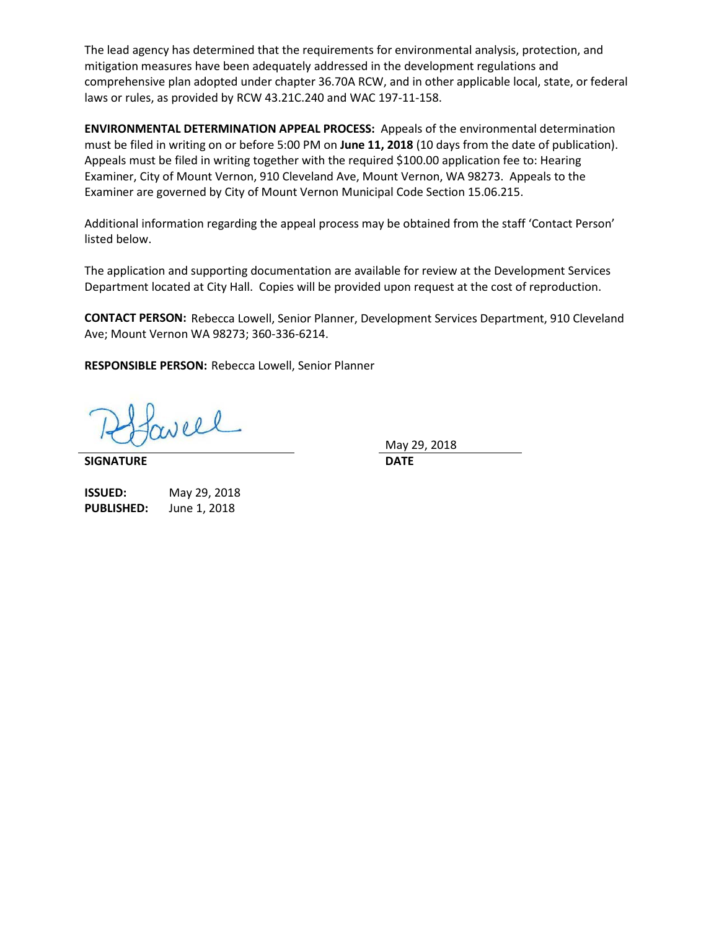The lead agency has determined that the requirements for environmental analysis, protection, and mitigation measures have been adequately addressed in the development regulations and comprehensive plan adopted under chapter 36.70A RCW, and in other applicable local, state, or federal laws or rules, as provided by RCW 43.21C.240 and WAC 197-11-158.

**ENVIRONMENTAL DETERMINATION APPEAL PROCESS:** Appeals of the environmental determination must be filed in writing on or before 5:00 PM on **June 11, 2018** (10 days from the date of publication). Appeals must be filed in writing together with the required \$100.00 application fee to: Hearing Examiner, City of Mount Vernon, 910 Cleveland Ave, Mount Vernon, WA 98273. Appeals to the Examiner are governed by City of Mount Vernon Municipal Code Section 15.06.215.

Additional information regarding the appeal process may be obtained from the staff 'Contact Person' listed below.

The application and supporting documentation are available for review at the Development Services Department located at City Hall. Copies will be provided upon request at the cost of reproduction.

**CONTACT PERSON:** Rebecca Lowell, Senior Planner, Development Services Department, 910 Cleveland Ave; Mount Vernon WA 98273; 360-336-6214.

**RESPONSIBLE PERSON:** Rebecca Lowell, Senior Planner

aveel

**SIGNATURE DATE**

May 29, 2018

| ISSUED:           | May 29, 2018 |
|-------------------|--------------|
| <b>PUBLISHED:</b> | June 1, 2018 |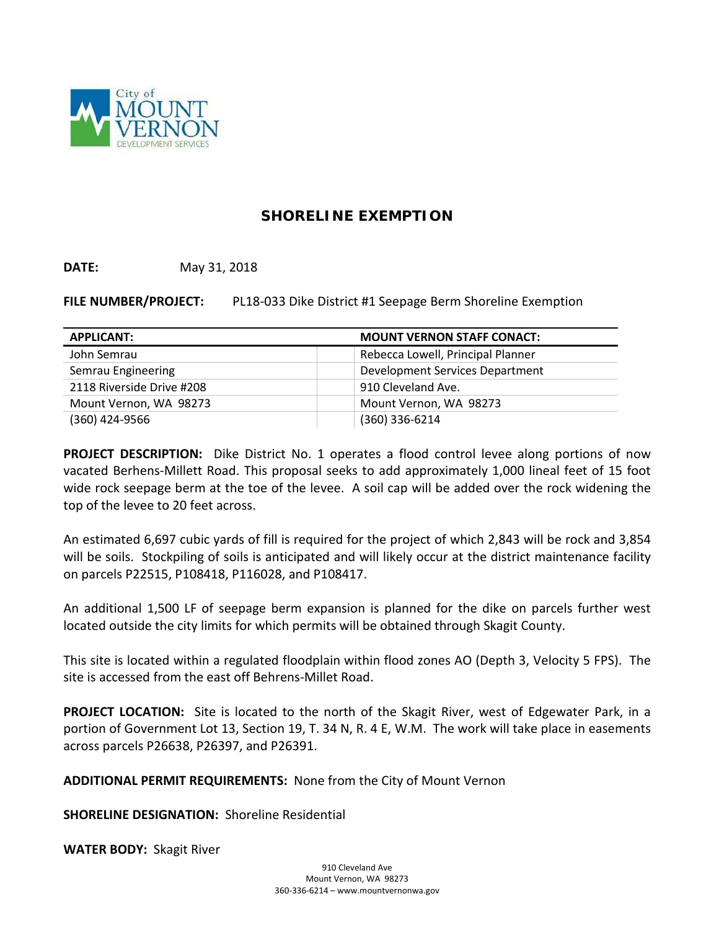

# **SHORELINE EXEMPTION**

**DATE:** May 31, 2018

**FILE NUMBER/PROJECT:** PL18-033 Dike District #1 Seepage Berm Shoreline Exemption

| <b>APPLICANT:</b>         | <b>MOUNT VERNON STAFF CONACT:</b> |
|---------------------------|-----------------------------------|
| John Semrau               | Rebecca Lowell, Principal Planner |
| Semrau Engineering        | Development Services Department   |
| 2118 Riverside Drive #208 | 910 Cleveland Ave.                |
| Mount Vernon, WA 98273    | Mount Vernon, WA 98273            |
| (360) 424-9566            | $(360)$ 336-6214                  |

**PROJECT DESCRIPTION:** Dike District No. 1 operates a flood control levee along portions of now vacated Berhens-Millett Road. This proposal seeks to add approximately 1,000 lineal feet of 15 foot wide rock seepage berm at the toe of the levee. A soil cap will be added over the rock widening the top of the levee to 20 feet across.

An estimated 6,697 cubic yards of fill is required for the project of which 2,843 will be rock and 3,854 will be soils. Stockpiling of soils is anticipated and will likely occur at the district maintenance facility on parcels P22515, P108418, P116028, and P108417.

An additional 1,500 LF of seepage berm expansion is planned for the dike on parcels further west located outside the city limits for which permits will be obtained through Skagit County.

This site is located within a regulated floodplain within flood zones AO (Depth 3, Velocity 5 FPS). The site is accessed from the east off Behrens-Millet Road.

**PROJECT LOCATION:** Site is located to the north of the Skagit River, west of Edgewater Park, in a portion of Government Lot 13, Section 19, T. 34 N, R. 4 E, W.M. The work will take place in easements across parcels P26638, P26397, and P26391.

**ADDITIONAL PERMIT REQUIREMENTS:** None from the City of Mount Vernon

**SHORELINE DESIGNATION:** Shoreline Residential

**WATER BODY:** Skagit River